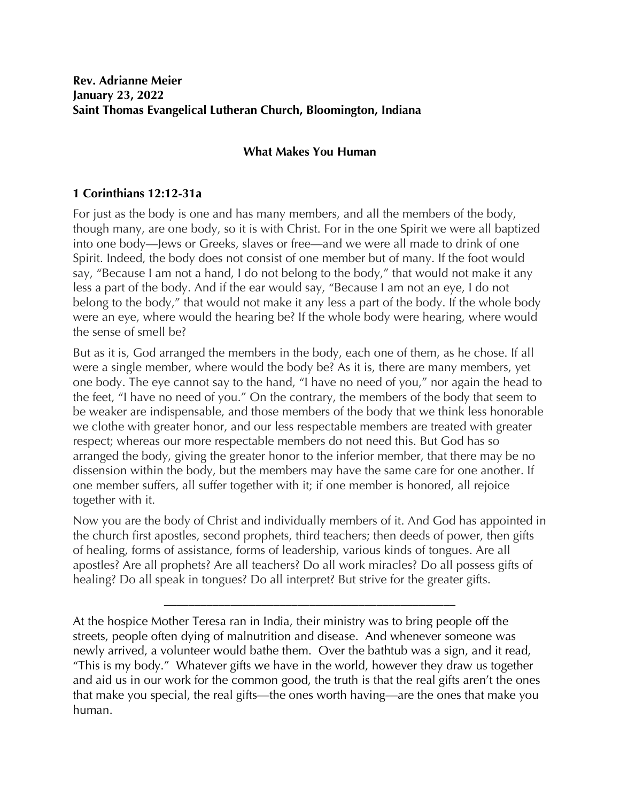## **What Makes You Human**

## **1 Corinthians 12:12-31a**

For just as the body is one and has many members, and all the members of the body, though many, are one body, so it is with Christ. For in the one Spirit we were all baptized into one body—Jews or Greeks, slaves or free—and we were all made to drink of one Spirit. Indeed, the body does not consist of one member but of many. If the foot would say, "Because I am not a hand, I do not belong to the body," that would not make it any less a part of the body. And if the ear would say, "Because I am not an eye, I do not belong to the body," that would not make it any less a part of the body. If the whole body were an eye, where would the hearing be? If the whole body were hearing, where would the sense of smell be?

But as it is, God arranged the members in the body, each one of them, as he chose. If all were a single member, where would the body be? As it is, there are many members, yet one body. The eye cannot say to the hand, "I have no need of you," nor again the head to the feet, "I have no need of you." On the contrary, the members of the body that seem to be weaker are indispensable, and those members of the body that we think less honorable we clothe with greater honor, and our less respectable members are treated with greater respect; whereas our more respectable members do not need this. But God has so arranged the body, giving the greater honor to the inferior member, that there may be no dissension within the body, but the members may have the same care for one another. If one member suffers, all suffer together with it; if one member is honored, all rejoice together with it.

Now you are the body of Christ and individually members of it. And God has appointed in the church first apostles, second prophets, third teachers; then deeds of power, then gifts of healing, forms of assistance, forms of leadership, various kinds of tongues. Are all apostles? Are all prophets? Are all teachers? Do all work miracles? Do all possess gifts of healing? Do all speak in tongues? Do all interpret? But strive for the greater gifts.

\_\_\_\_\_\_\_\_\_\_\_\_\_\_\_\_\_\_\_\_\_\_\_\_\_\_\_\_\_\_\_\_\_\_\_\_\_\_\_\_\_\_\_\_\_\_\_\_

At the hospice Mother Teresa ran in India, their ministry was to bring people off the streets, people often dying of malnutrition and disease. And whenever someone was newly arrived, a volunteer would bathe them. Over the bathtub was a sign, and it read, "This is my body." Whatever gifts we have in the world, however they draw us together and aid us in our work for the common good, the truth is that the real gifts aren't the ones that make you special, the real gifts—the ones worth having—are the ones that make you human.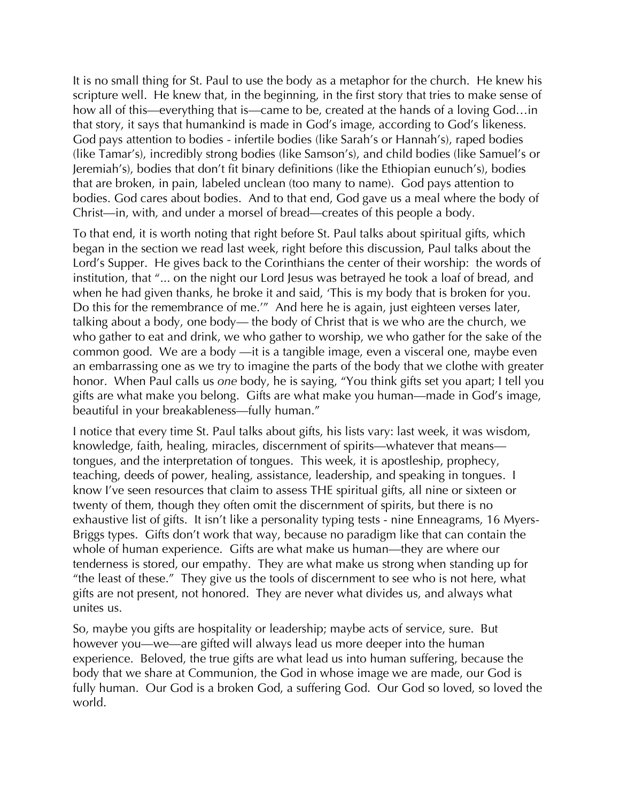It is no small thing for St. Paul to use the body as a metaphor for the church. He knew his scripture well. He knew that, in the beginning, in the first story that tries to make sense of how all of this—everything that is—came to be, created at the hands of a loving God...in that story, it says that humankind is made in God's image, according to God's likeness. God pays attention to bodies - infertile bodies (like Sarah's or Hannah's), raped bodies (like Tamar's), incredibly strong bodies (like Samson's), and child bodies (like Samuel's or Jeremiah's), bodies that don't fit binary definitions (like the Ethiopian eunuch's), bodies that are broken, in pain, labeled unclean (too many to name). God pays attention to bodies. God cares about bodies. And to that end, God gave us a meal where the body of Christ—in, with, and under a morsel of bread—creates of this people a body.

To that end, it is worth noting that right before St. Paul talks about spiritual gifts, which began in the section we read last week, right before this discussion, Paul talks about the Lord's Supper. He gives back to the Corinthians the center of their worship: the words of institution, that "... on the night our Lord Jesus was betrayed he took a loaf of bread, and when he had given thanks, he broke it and said, 'This is my body that is broken for you. Do this for the remembrance of me.'" And here he is again, just eighteen verses later, talking about a body, one body— the body of Christ that is we who are the church, we who gather to eat and drink, we who gather to worship, we who gather for the sake of the common good. We are a body —it is a tangible image, even a visceral one, maybe even an embarrassing one as we try to imagine the parts of the body that we clothe with greater honor. When Paul calls us *one* body, he is saying, "You think gifts set you apart; I tell you gifts are what make you belong. Gifts are what make you human—made in God's image, beautiful in your breakableness—fully human."

I notice that every time St. Paul talks about gifts, his lists vary: last week, it was wisdom, knowledge, faith, healing, miracles, discernment of spirits—whatever that means tongues, and the interpretation of tongues. This week, it is apostleship, prophecy, teaching, deeds of power, healing, assistance, leadership, and speaking in tongues. I know I've seen resources that claim to assess THE spiritual gifts, all nine or sixteen or twenty of them, though they often omit the discernment of spirits, but there is no exhaustive list of gifts. It isn't like a personality typing tests - nine Enneagrams, 16 Myers-Briggs types. Gifts don't work that way, because no paradigm like that can contain the whole of human experience. Gifts are what make us human—they are where our tenderness is stored, our empathy. They are what make us strong when standing up for "the least of these." They give us the tools of discernment to see who is not here, what gifts are not present, not honored. They are never what divides us, and always what unites us.

So, maybe you gifts are hospitality or leadership; maybe acts of service, sure. But however you—we—are gifted will always lead us more deeper into the human experience. Beloved, the true gifts are what lead us into human suffering, because the body that we share at Communion, the God in whose image we are made, our God is fully human. Our God is a broken God, a suffering God. Our God so loved, so loved the world.